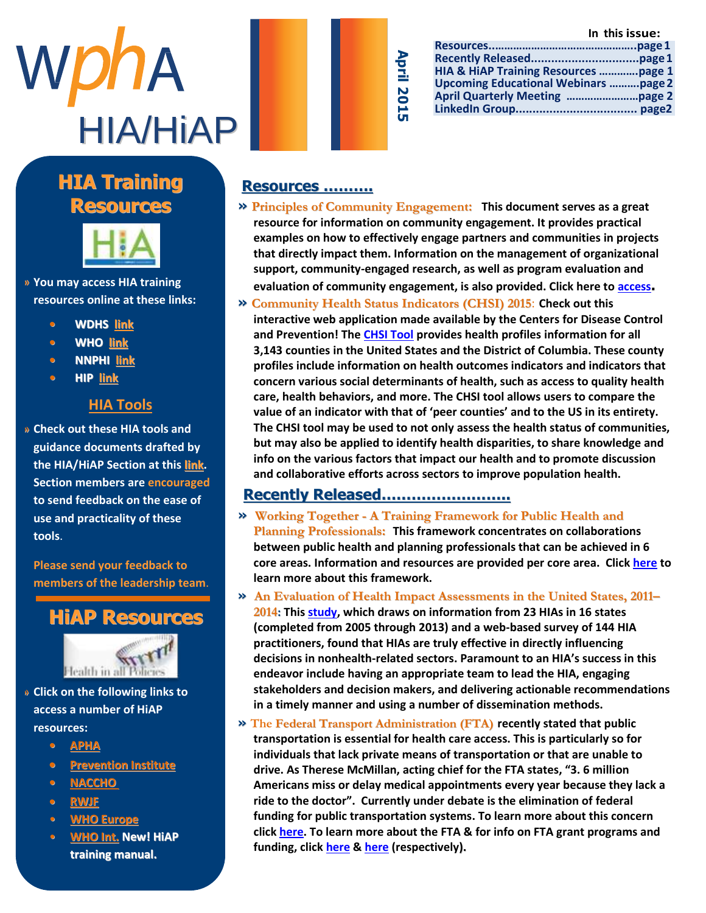



| HIA & HiAP Training Resources page 1        |  |
|---------------------------------------------|--|
| <b>Upcoming Educational Webinars page 2</b> |  |
|                                             |  |
|                                             |  |
|                                             |  |

### **Manuel Highlight Highlight Company HIA Training Resources**



 $\omega$  and  $\omega$  and  $\omega$  and  $\omega$  and  $\omega$ » You may access HIA training **resources online at these links:** 

- H I A s e c t i o n l e a d e r s h i p **• WDHS [link](http://www.dhs.wisconsin.gov/hia/webcast.htm)**  $\frac{m}{2}$  we reflect the r  $\frac{m}{2}$
- c o m m u n i [c a t i o](http://www.who.int/hia/tools/en/) n s o f f i c e r **• WHO link**
- **• NNPHI** <u>link</u>
- **• HIP link**

#### r e s p o n s i b l e f o r **p**  $\overline{\text{HIA Tools}}$

» Check out these HIA tools and **EXPERT CALCERT CONTROLLER**<br>guidance documents drafted by  $i$  i denote documents draits o p p o r t u n i t i e s b o t h i n **the HIA/HiAP Section at this [link.](https://wipha.site-ym.com/?page=hia_library) Section members are encouraged** to send feedback on the ease of **use and practicality of these** b u z a n e w s l e t e w s l e t e v s e v s e w s e w s e w s e w s e w s e w s e w s e w s e w s e w s e w<br>De la t e v s e w s e w s e w s e w s e w s e w s e w s e w s e w s e w s e w s e w s e w s e w s e w s e w s  $\mathcal{L}$  and  $\mathcal{L}$  are a subset of  $\mathcal{L}$  and  $\mathcal{L}$  of  $\mathcal{L}$  s of  $\mathcal{L}$ **tools**.

**Please send your feedback to** ,<br>A s s i s s i s tha laadarchi C h r o n i c D i s e a s e **members of the leadership team**.





- t a k e h e r t o t h e » Click on the following links to **an in the following** access a number of HiAP **and a resources:** w a r d s a r d s a r
	- M a s [t e r s i](http://apha.org/topics-and-issues/healthy-communities/health-in-all-policies) n U r b a n a n d **• APHA**
	- R e Dravantion Institute **•** <u>Prevention Institute</u><br> **•** PLACCUO
	- h e r g r e a t c o n t r i b u t i o n **• [NACCHO](http://www.naccho.org/advocacy/positions/upload/12-01-health-in-all-policies.pdf)**
	- t o t <mark>RWJF</mark> e la e a d
	- $\bullet$  **WHO Europe**
	- b e s [t o f l u c k](http://www.who.int/life-course/news/health-in-all-policies/en/) i n h e r **WHO Int. New! HiAP training manual.** e n d e a v o d u c k i n d u c k i n d u c k i n d u c k i n d u c k i n d u c k i n d u c k i n d u c k i n

#### **Resources ……….**

- **» Principles of Community Engagement: This document serves as a great resource for information on community engagement. It provides practical examples on how to effectively engage partners and communities in projects that directly impact them. Information on the management of organizational support, community-engaged research, as well as program evaluation and evaluation of community engagement, is also provided. Click here to [access](http://www.atsdr.cdc.gov/communityengagement/).**
- **» [Community](http://wwwn.cdc.gov/communityhealth) Health Status Indicators (CHSI) 2015**: **Check out this interactive web application made available by the Centers for Disease Control and Prevention! Th[e CHSI Tool](http://wwwn.cdc.gov/CommunityHealth/home) provides health profiles information for all 3,143 counties in the United States and the District of Columbia. These county profiles include information on health outcomes indicators and indicators that concern various social determinants of health, such as access to quality health care, health behaviors, and more. The CHSI tool allows users to compare the value of an indicator with that of 'peer counties' and to the US in its entirety. The CHSI tool may be used to not only assess the health status of communities, but may also be applied to identify health disparities, to share knowledge and info on the various factors that impact our health and to promote discussion and collaborative efforts across sectors to improve population health.**

#### **Recently Released……………………..**

- **» Working Together - A Training Framework for Public Health and Planning Professionals: This framework concentrates on collaborations between public health and planning professionals that can be achieved in 6 core areas. Information and resources are provided per core area. Click [here](http://www.cdc.gov/healthyplaces/training_framework.htm) to learn more about this framework.**
- **» An Evaluation of Health Impact Assessments in the United States, 2011– 2014: This [study,](http://www.cdc.gov/pcd/issues/2015/14_0376.htm?hd&utm_campaign=2015-03-18%20HIP&utm_medium=email&utm_source=Eloqua) which draws on information from 23 HIAs in 16 states (completed from 2005 through 2013) and a web-based survey of 144 HIA practitioners, found that HIAs are truly effective in directly influencing decisions in nonhealth-related sectors. Paramount to an HIA's success in this endeavor include having an appropriate team to lead the HIA, engaging stakeholders and decision makers, and delivering actionable recommendations in a timely manner and using a number of dissemination methods.**
- **» The Federal Transport Administration (FTA) recently stated that public transportation is essential for health care access. This is particularly so for individuals that lack private means of transportation or that are unable to drive. As Therese McMillan, acting chief for the FTA states, "3. 6 million Americans miss or delay medical appointments every year because they lack a ride to the doctor". Currently under debate is the elimination of federal funding for public transportation systems. To learn more about this concern clic[k here.](http://thehill.com/policy/transportation/235370-feds-tout-transit-role-in-health-care) To learn more about the FTA & for info on FTA grant programs and funding, clic[k here](http://www.fta.dot.gov/index.html) & [here](http://www.fta.dot.gov/grants.html) (respectively).**